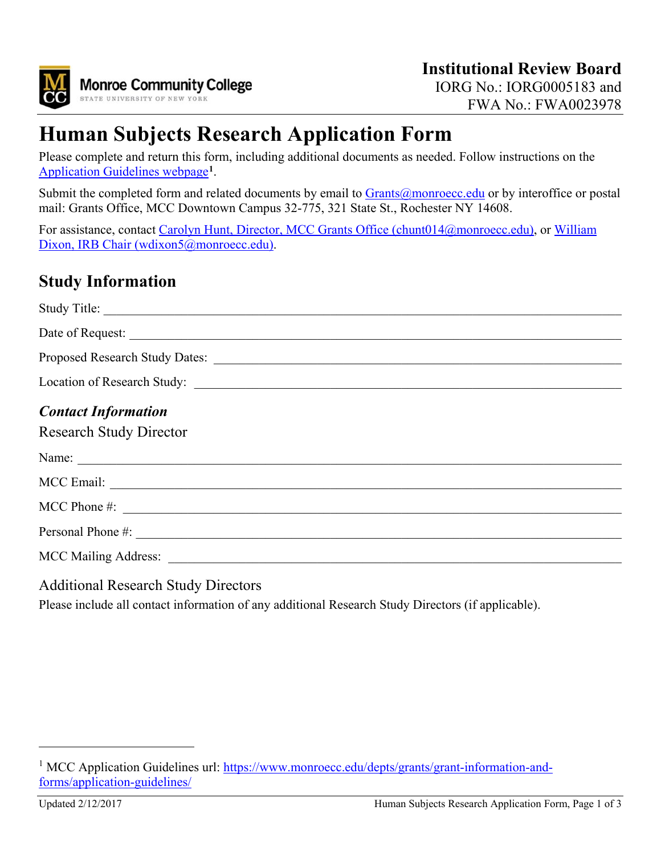

# **Human Subjects Research Application Form**

Please complete and return this form, including additional documents as needed. Follow instructions on the [Application Guidelines webpage](https://www.monroecc.edu/depts/grants/grant-information-and-forms/application-guidelines/)**[1](#page-0-0)**.

Submit the completed form and related documents by email to [Grants@monroecc.edu](mailto:Grants@monroecc.edu) or by interoffice or postal mail: Grants Office, MCC Downtown Campus 32-775, 321 State St., Rochester NY 14608.

For assistance, contact [Carolyn Hunt, Director, MCC Grants Office \(chunt014@monroecc.edu\),](mailto:chunt014@monroecc.edu) or William [Dixon, IRB Chair \(wdixon5@monroecc.edu\).](mailto:wdixon5@monroecc.edu)

## **Study Information**

| Proposed Research Study Dates:                                                                                                                                                                                                 |
|--------------------------------------------------------------------------------------------------------------------------------------------------------------------------------------------------------------------------------|
|                                                                                                                                                                                                                                |
| <b>Contact Information</b><br><b>Research Study Director</b>                                                                                                                                                                   |
|                                                                                                                                                                                                                                |
|                                                                                                                                                                                                                                |
| MCC Phone $\#$ :                                                                                                                                                                                                               |
|                                                                                                                                                                                                                                |
| MCC Mailing Address: 2008. 2009. 2010. 2010. 2012. 2013. 2014. 2015. 2016. 2017. 2018. 2019. 2016. 2017. 2018. 2019. 2017. 2018. 2019. 2019. 2019. 2019. 2019. 2019. 2019. 2019. 2019. 2019. 2019. 2019. 2019. 2019. 2019. 201 |

Additional Research Study Directors

Please include all contact information of any additional Research Study Directors (if applicable).

 $\overline{a}$ 

<span id="page-0-0"></span><sup>&</sup>lt;sup>1</sup> MCC Application Guidelines url: [https://www.monroecc.edu/depts/grants/grant-information-and](https://www.monroecc.edu/depts/grants/grant-information-and-forms/application-guidelines/)[forms/application-guidelines/](https://www.monroecc.edu/depts/grants/grant-information-and-forms/application-guidelines/)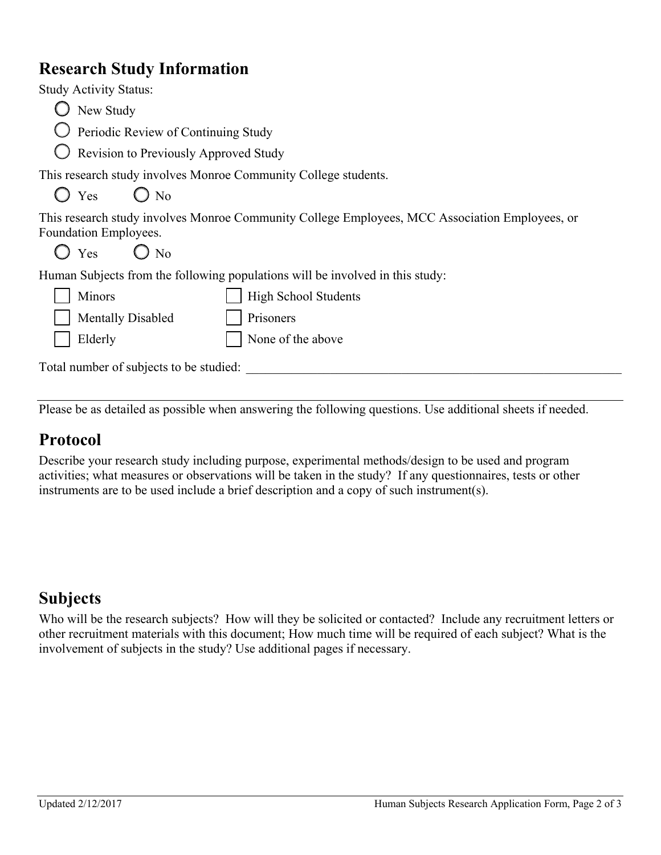#### **Research Study Information**

| <b>Study Activity Status:</b>                                   |                                                                                                |
|-----------------------------------------------------------------|------------------------------------------------------------------------------------------------|
| New Study                                                       |                                                                                                |
| $\bigcup$ Periodic Review of Continuing Study                   |                                                                                                |
| Revision to Previously Approved Study                           |                                                                                                |
|                                                                 | This research study involves Monroe Community College students.                                |
| $\bigcirc$ Yes<br>$\bigcirc$ No                                 |                                                                                                |
| <b>Foundation Employees.</b><br>$\bigcirc$ Yes<br>$\bigcirc$ No | This research study involves Monroe Community College Employees, MCC Association Employees, or |
|                                                                 |                                                                                                |
|                                                                 | Human Subjects from the following populations will be involved in this study:                  |
| Minors                                                          | <b>High School Students</b>                                                                    |
| <b>Mentally Disabled</b>                                        | Prisoners                                                                                      |
| Elderly                                                         | None of the above                                                                              |

Total number of subjects to be studied: \_\_\_\_\_\_\_\_\_\_\_\_\_\_\_\_\_\_\_\_\_\_\_\_\_\_\_\_\_\_\_\_\_\_\_\_\_\_\_\_\_\_\_\_\_\_\_\_\_\_\_\_\_\_\_\_\_\_

Please be as detailed as possible when answering the following questions. Use additional sheets if needed.

#### **Protocol**

Describe your research study including purpose, experimental methods/design to be used and program activities; what measures or observations will be taken in the study? If any questionnaires, tests or other instruments are to be used include a brief description and a copy of such instrument(s).

#### **Subjects**

Who will be the research subjects? How will they be solicited or contacted? Include any recruitment letters or other recruitment materials with this document; How much time will be required of each subject? What is the involvement of subjects in the study? Use additional pages if necessary.